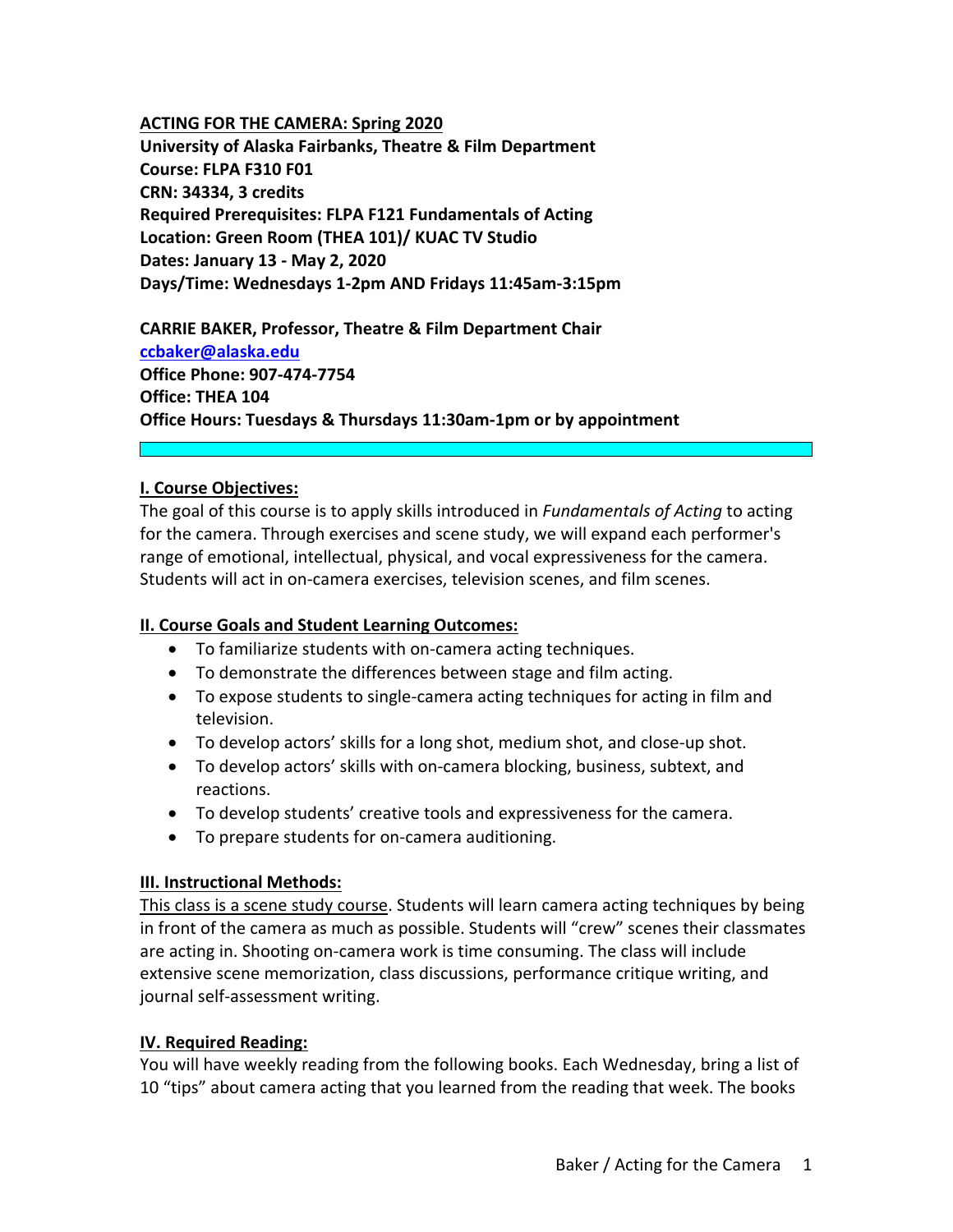#### **ACTING FOR THE CAMERA: Spring 2020**

**University of Alaska Fairbanks, Theatre & Film Department Course: FLPA F310 F01 CRN: 34334, 3 credits Required Prerequisites: FLPA F121 Fundamentals of Acting Location: Green Room (THEA 101)/ KUAC TV Studio Dates: January 13 ‐ May 2, 2020 Days/Time: Wednesdays 1‐2pm AND Fridays 11:45am‐3:15pm**

**CARRIE BAKER, Professor, Theatre & Film Department Chair ccbaker@alaska.edu Office Phone: 907‐474‐7754 Office: THEA 104 Office Hours: Tuesdays & Thursdays 11:30am‐1pm or by appointment**

#### **I. Course Objectives:**

The goal of this course is to apply skills introduced in *Fundamentals of Acting* to acting for the camera. Through exercises and scene study, we will expand each performer's range of emotional, intellectual, physical, and vocal expressiveness for the camera. Students will act in on‐camera exercises, television scenes, and film scenes.

#### **II. Course Goals and Student Learning Outcomes:**

- To familiarize students with on‐camera acting techniques.
- To demonstrate the differences between stage and film acting.
- To expose students to single-camera acting techniques for acting in film and television.
- To develop actors' skills for a long shot, medium shot, and close‐up shot.
- To develop actors' skills with on‐camera blocking, business, subtext, and reactions.
- To develop students' creative tools and expressiveness for the camera.
- To prepare students for on-camera auditioning.

#### **III. Instructional Methods:**

This class is a scene study course. Students will learn camera acting techniques by being in front of the camera as much as possible. Students will "crew" scenes their classmates are acting in. Shooting on‐camera work is time consuming. The class will include extensive scene memorization, class discussions, performance critique writing, and journal self‐assessment writing.

#### **IV. Required Reading:**

You will have weekly reading from the following books. Each Wednesday, bring a list of 10 "tips" about camera acting that you learned from the reading that week. The books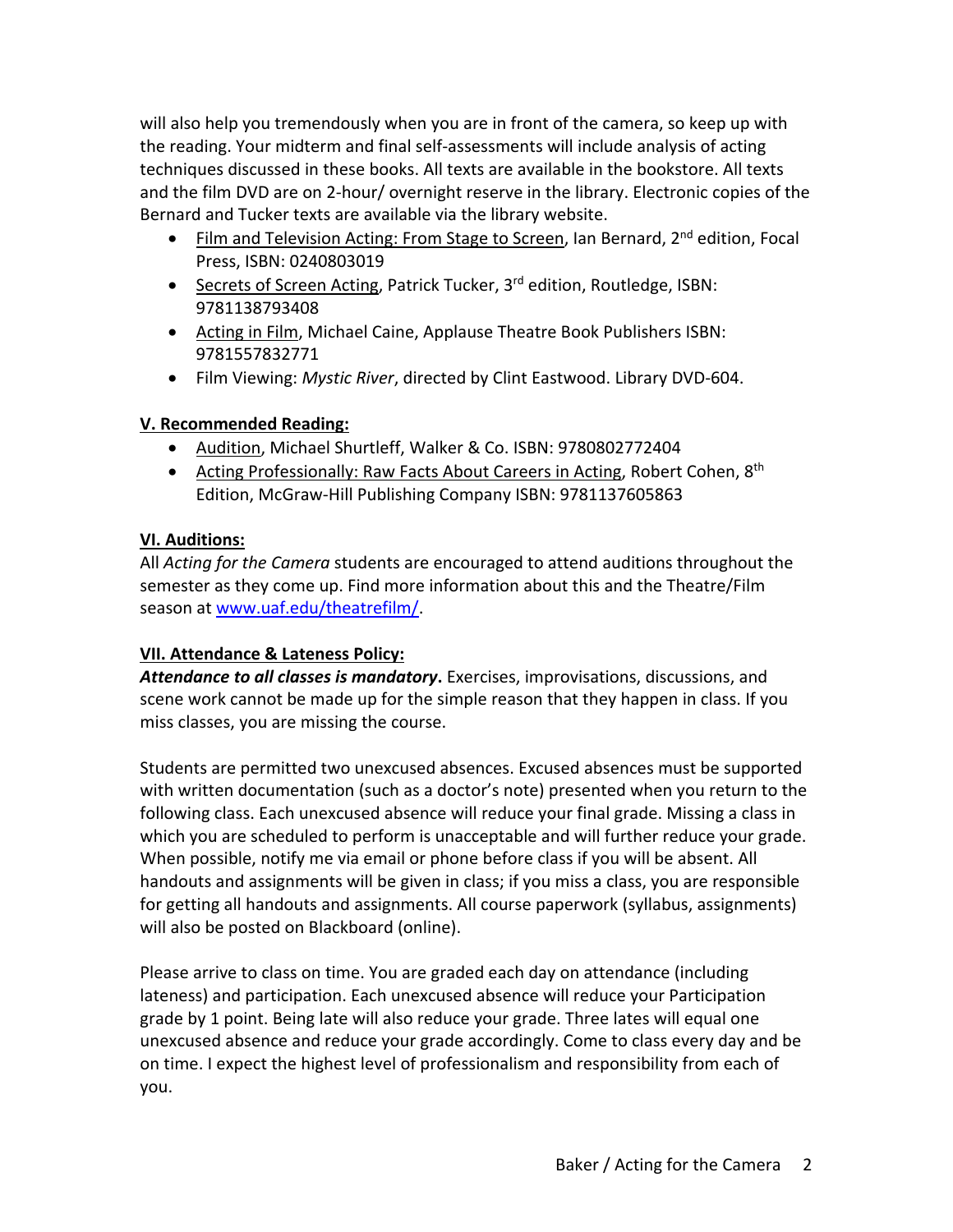will also help you tremendously when you are in front of the camera, so keep up with the reading. Your midterm and final self‐assessments will include analysis of acting techniques discussed in these books. All texts are available in the bookstore. All texts and the film DVD are on 2‐hour/ overnight reserve in the library. Electronic copies of the Bernard and Tucker texts are available via the library website.

- Film and Television Acting: From Stage to Screen, Ian Bernard, 2<sup>nd</sup> edition, Focal Press, ISBN: 0240803019
- Secrets of Screen Acting, Patrick Tucker, 3<sup>rd</sup> edition, Routledge, ISBN: 9781138793408
- Acting in Film, Michael Caine, Applause Theatre Book Publishers ISBN: 9781557832771
- Film Viewing: *Mystic River*, directed by Clint Eastwood. Library DVD‐604.

## **V. Recommended Reading:**

- Audition, Michael Shurtleff, Walker & Co. ISBN: 9780802772404
- Acting Professionally: Raw Facts About Careers in Acting, Robert Cohen, 8<sup>th</sup> Edition, McGraw‐Hill Publishing Company ISBN: 9781137605863

## **VI. Auditions:**

All *Acting for the Camera* students are encouraged to attend auditions throughout the semester as they come up. Find more information about this and the Theatre/Film season at www.uaf.edu/theatrefilm/.

# **VII. Attendance & Lateness Policy:**

*Attendance to all classes is mandatory***.** Exercises, improvisations, discussions, and scene work cannot be made up for the simple reason that they happen in class. If you miss classes, you are missing the course.

Students are permitted two unexcused absences. Excused absences must be supported with written documentation (such as a doctor's note) presented when you return to the following class. Each unexcused absence will reduce your final grade. Missing a class in which you are scheduled to perform is unacceptable and will further reduce your grade. When possible, notify me via email or phone before class if you will be absent. All handouts and assignments will be given in class; if you miss a class, you are responsible for getting all handouts and assignments. All course paperwork (syllabus, assignments) will also be posted on Blackboard (online).

Please arrive to class on time. You are graded each day on attendance (including lateness) and participation. Each unexcused absence will reduce your Participation grade by 1 point. Being late will also reduce your grade. Three lates will equal one unexcused absence and reduce your grade accordingly. Come to class every day and be on time. I expect the highest level of professionalism and responsibility from each of you.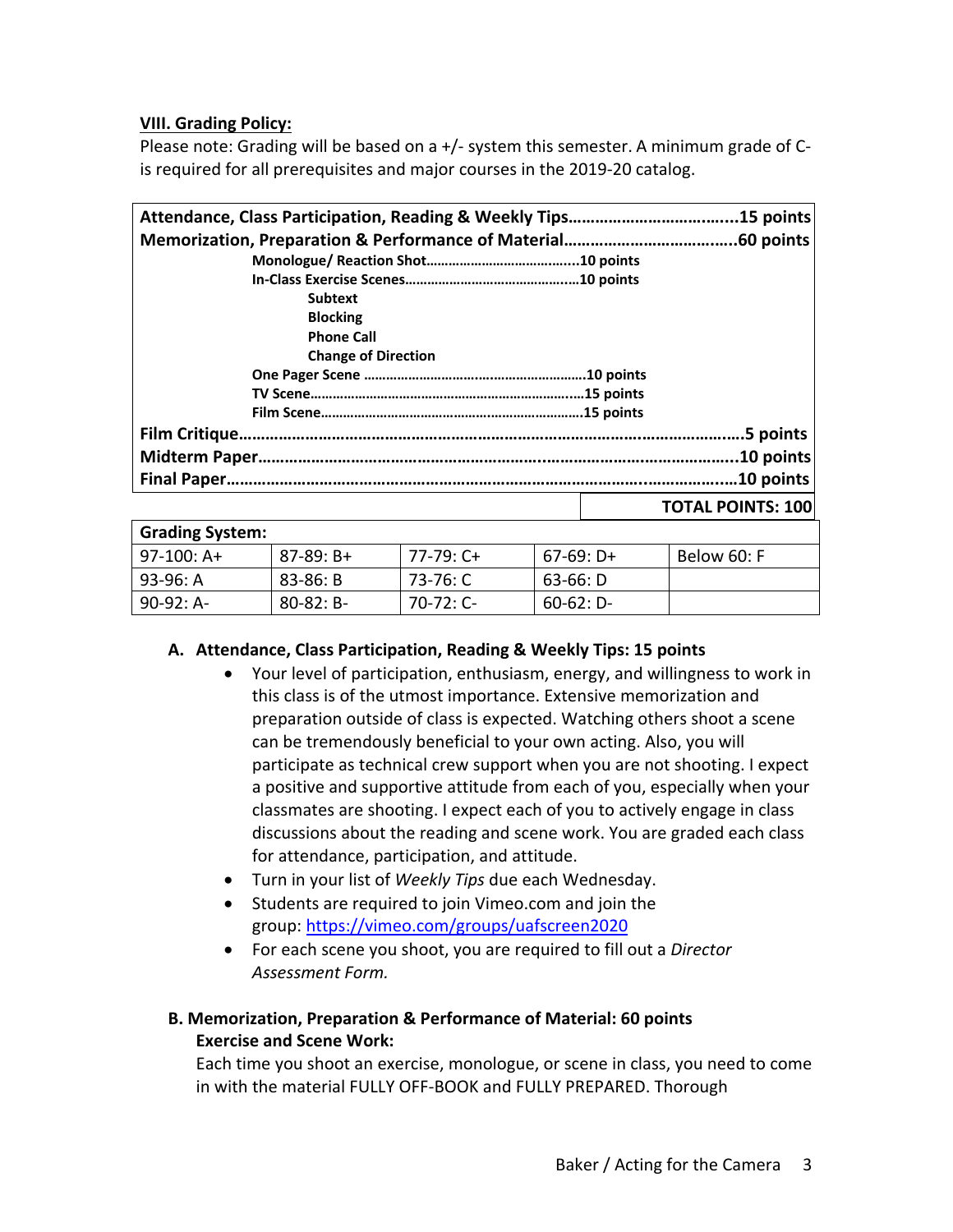#### **VIII. Grading Policy:**

Please note: Grading will be based on a +/‐ system this semester. A minimum grade of C‐ is required for all prerequisites and major courses in the 2019‐20 catalog.

|                            | .15 points               |
|----------------------------|--------------------------|
|                            | .60 points               |
|                            |                          |
|                            |                          |
| <b>Subtext</b>             |                          |
| <b>Blocking</b>            |                          |
| <b>Phone Call</b>          |                          |
| <b>Change of Direction</b> |                          |
|                            |                          |
|                            |                          |
|                            |                          |
|                            | .5 points                |
|                            | .10 points               |
|                            | .10 points               |
|                            | <b>TOTAL POINTS: 100</b> |

| <b>Grading System:</b> |                |             |              |             |  |
|------------------------|----------------|-------------|--------------|-------------|--|
| $97-100:$ A+           | $87-89: B+$    | $77-79:$ C+ | $67-69: D+$  | Below 60: F |  |
| 93-96: A               | $83 - 86: B$   | 73-76: C    | $63-66: D$   |             |  |
| $90-92: A-$            | $80 - 82$ : B- | $70-72:$ C- | $60-62: D -$ |             |  |

#### **A. Attendance, Class Participation, Reading & Weekly Tips: 15 points**

- Your level of participation, enthusiasm, energy, and willingness to work in this class is of the utmost importance. Extensive memorization and preparation outside of class is expected. Watching others shoot a scene can be tremendously beneficial to your own acting. Also, you will participate as technical crew support when you are not shooting. I expect a positive and supportive attitude from each of you, especially when your classmates are shooting. I expect each of you to actively engage in class discussions about the reading and scene work. You are graded each class for attendance, participation, and attitude.
- Turn in your list of *Weekly Tips* due each Wednesday.
- Students are required to join Vimeo.com and join the group: https://vimeo.com/groups/uafscreen2020
- For each scene you shoot, you are required to fill out a *Director Assessment Form.*

#### **B. Memorization, Preparation & Performance of Material: 60 points Exercise and Scene Work:**

Each time you shoot an exercise, monologue, or scene in class, you need to come in with the material FULLY OFF‐BOOK and FULLY PREPARED. Thorough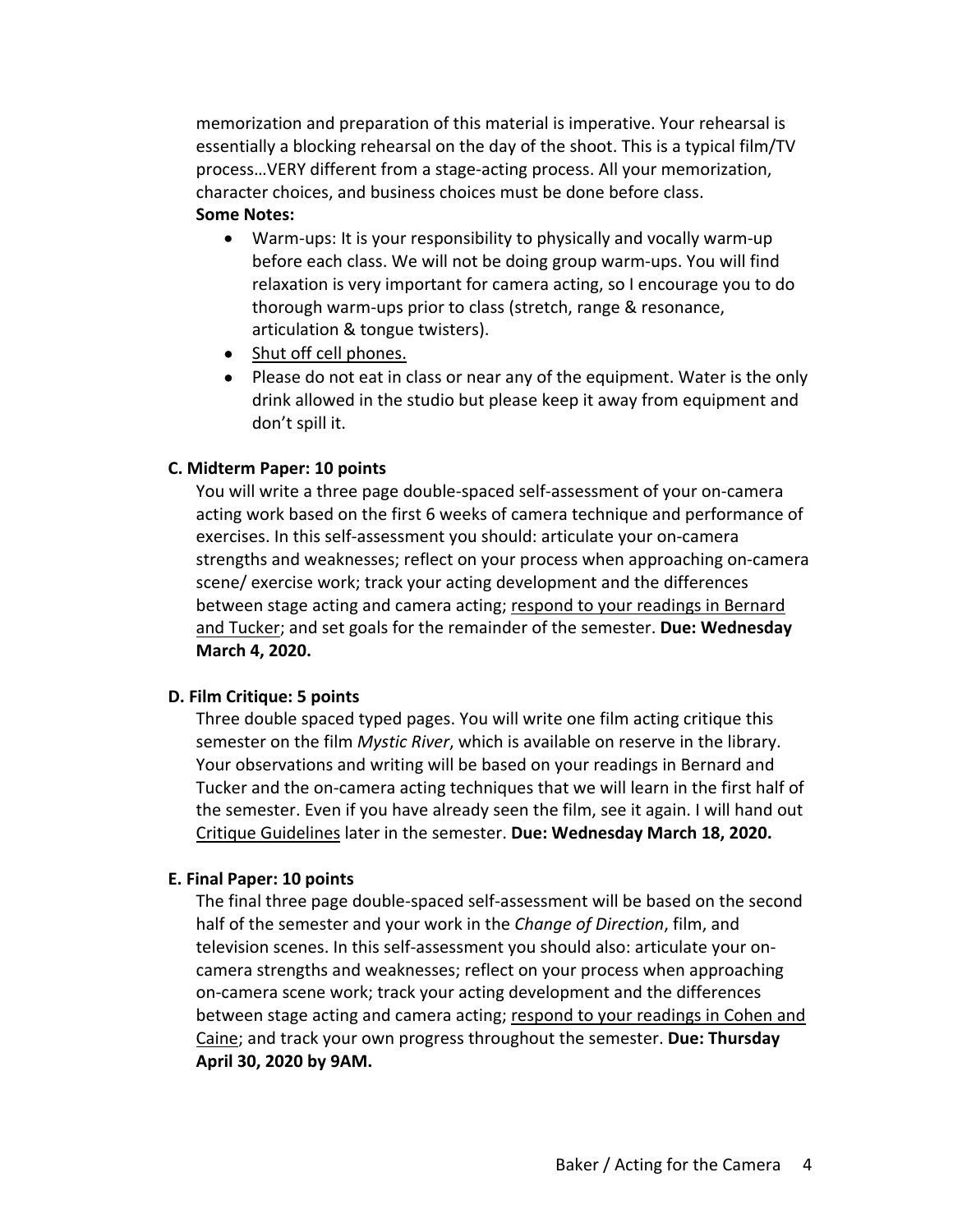memorization and preparation of this material is imperative. Your rehearsal is essentially a blocking rehearsal on the day of the shoot. This is a typical film/TV process…VERY different from a stage‐acting process. All your memorization, character choices, and business choices must be done before class. **Some Notes:**

- Warm-ups: It is your responsibility to physically and vocally warm-up before each class. We will not be doing group warm‐ups. You will find relaxation is very important for camera acting, so I encourage you to do thorough warm‐ups prior to class (stretch, range & resonance, articulation & tongue twisters).
- Shut off cell phones.
- Please do not eat in class or near any of the equipment. Water is the only drink allowed in the studio but please keep it away from equipment and don't spill it.

#### **C. Midterm Paper: 10 points**

You will write a three page double‐spaced self‐assessment of your on‐camera acting work based on the first 6 weeks of camera technique and performance of exercises. In this self‐assessment you should: articulate your on‐camera strengths and weaknesses; reflect on your process when approaching on‐camera scene/ exercise work; track your acting development and the differences between stage acting and camera acting; respond to your readings in Bernard and Tucker; and set goals for the remainder of the semester. **Due: Wednesday March 4, 2020.**

#### **D. Film Critique: 5 points**

Three double spaced typed pages. You will write one film acting critique this semester on the film *Mystic River*, which is available on reserve in the library. Your observations and writing will be based on your readings in Bernard and Tucker and the on‐camera acting techniques that we will learn in the first half of the semester. Even if you have already seen the film, see it again. I will hand out Critique Guidelines later in the semester. **Due: Wednesday March 18, 2020.**

#### **E. Final Paper: 10 points**

The final three page double‐spaced self‐assessment will be based on the second half of the semester and your work in the *Change of Direction*, film, and television scenes. In this self‐assessment you should also: articulate your on‐ camera strengths and weaknesses; reflect on your process when approaching on‐camera scene work; track your acting development and the differences between stage acting and camera acting; respond to your readings in Cohen and Caine; and track your own progress throughout the semester. **Due: Thursday April 30, 2020 by 9AM.**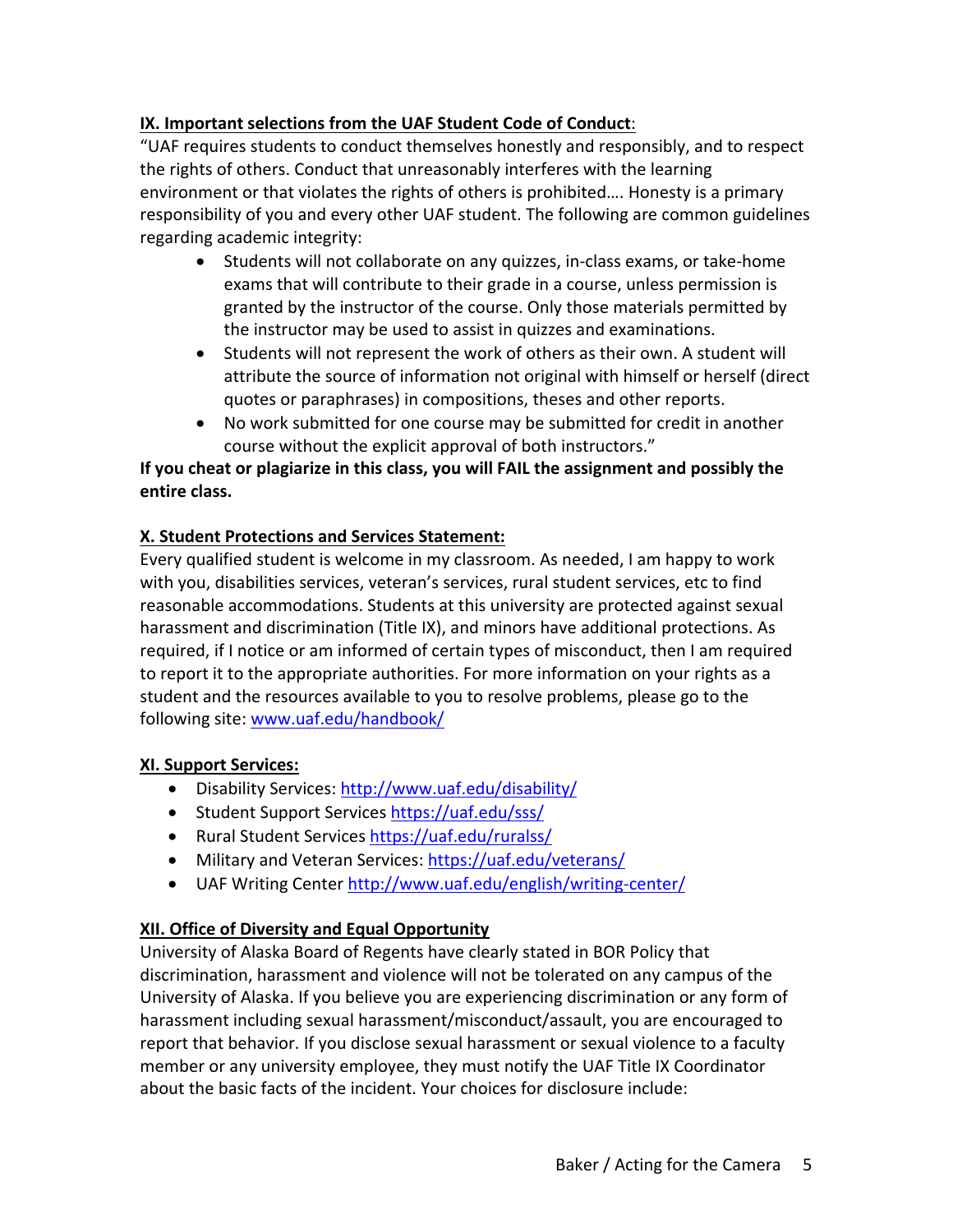## **IX. Important selections from the UAF Student Code of Conduct**:

"UAF requires students to conduct themselves honestly and responsibly, and to respect the rights of others. Conduct that unreasonably interferes with the learning environment or that violates the rights of others is prohibited…. Honesty is a primary responsibility of you and every other UAF student. The following are common guidelines regarding academic integrity:

- Students will not collaborate on any quizzes, in-class exams, or take-home exams that will contribute to their grade in a course, unless permission is granted by the instructor of the course. Only those materials permitted by the instructor may be used to assist in quizzes and examinations.
- Students will not represent the work of others as their own. A student will attribute the source of information not original with himself or herself (direct quotes or paraphrases) in compositions, theses and other reports.
- No work submitted for one course may be submitted for credit in another course without the explicit approval of both instructors."

## **If you cheat or plagiarize in this class, you will FAIL the assignment and possibly the entire class.**

## **X. Student Protections and Services Statement:**

Every qualified student is welcome in my classroom. As needed, I am happy to work with you, disabilities services, veteran's services, rural student services, etc to find reasonable accommodations. Students at this university are protected against sexual harassment and discrimination (Title IX), and minors have additional protections. As required, if I notice or am informed of certain types of misconduct, then I am required to report it to the appropriate authorities. For more information on your rights as a student and the resources available to you to resolve problems, please go to the following site: www.uaf.edu/handbook/

## **XI. Support Services:**

- Disability Services: http://www.uaf.edu/disability/
- Student Support Services https://uaf.edu/sss/
- Rural Student Services https://uaf.edu/ruralss/
- Military and Veteran Services: https://uaf.edu/veterans/
- UAF Writing Center http://www.uaf.edu/english/writing‐center/

# **XII. Office of Diversity and Equal Opportunity**

University of Alaska Board of Regents have clearly stated in BOR Policy that discrimination, harassment and violence will not be tolerated on any campus of the University of Alaska. If you believe you are experiencing discrimination or any form of harassment including sexual harassment/misconduct/assault, you are encouraged to report that behavior. If you disclose sexual harassment or sexual violence to a faculty member or any university employee, they must notify the UAF Title IX Coordinator about the basic facts of the incident. Your choices for disclosure include: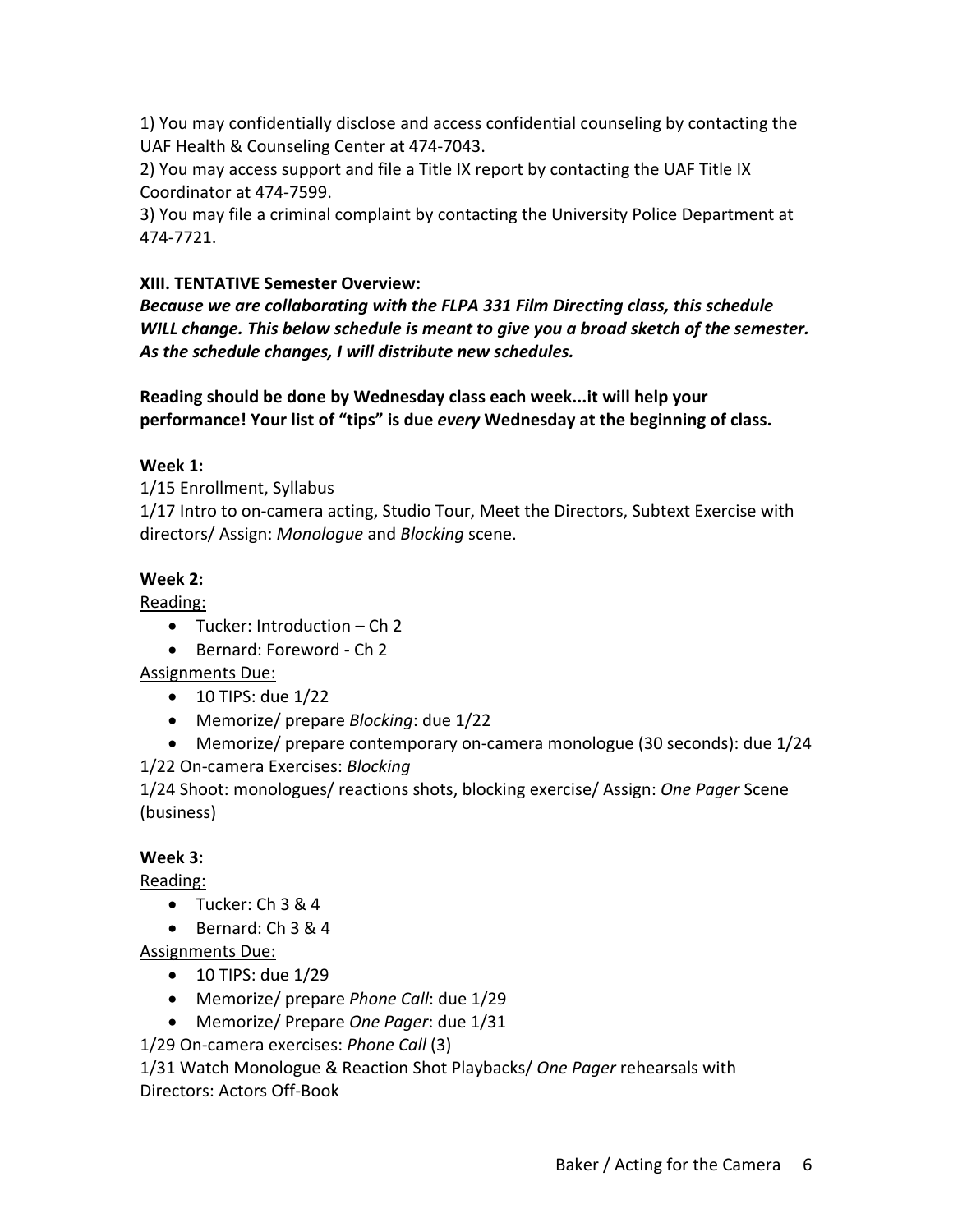1) You may confidentially disclose and access confidential counseling by contacting the UAF Health & Counseling Center at 474‐7043.

2) You may access support and file a Title IX report by contacting the UAF Title IX Coordinator at 474‐7599.

3) You may file a criminal complaint by contacting the University Police Department at 474‐7721.

## **XIII. TENTATIVE Semester Overview:**

*Because we are collaborating with the FLPA 331 Film Directing class, this schedule WILL change. This below schedule is meant to give you a broad sketch of the semester. As the schedule changes, I will distribute new schedules.*

**Reading should be done by Wednesday class each week...it will help your performance! Your list of "tips" is due** *every* **Wednesday at the beginning of class.**

## **Week 1:**

1/15 Enrollment, Syllabus

1/17 Intro to on‐camera acting, Studio Tour, Meet the Directors, Subtext Exercise with directors/ Assign: *Monologue* and *Blocking* scene.

## **Week 2:**

Reading:

- Tucker: Introduction Ch 2
- Bernard: Foreword Ch 2

Assignments Due:

- $\bullet$  10 TIPS: due 1/22
- Memorize/ prepare *Blocking*: due 1/22
- Memorize/ prepare contemporary on-camera monologue (30 seconds): due 1/24

1/22 On‐camera Exercises: *Blocking*

1/24 Shoot: monologues/ reactions shots, blocking exercise/ Assign: *One Pager* Scene (business)

## **Week 3:**

Reading:

- $\bullet$  Tucker: Ch 3 & 4
- $\bullet$  Bernard: Ch 3 & 4

Assignments Due:

- $\bullet$  10 TIPS: due 1/29
- Memorize/ prepare *Phone Call*: due 1/29
- Memorize/ Prepare *One Pager*: due 1/31

1/29 On‐camera exercises: *Phone Call* (3)

1/31 Watch Monologue & Reaction Shot Playbacks/ *One Pager* rehearsals with Directors: Actors Off‐Book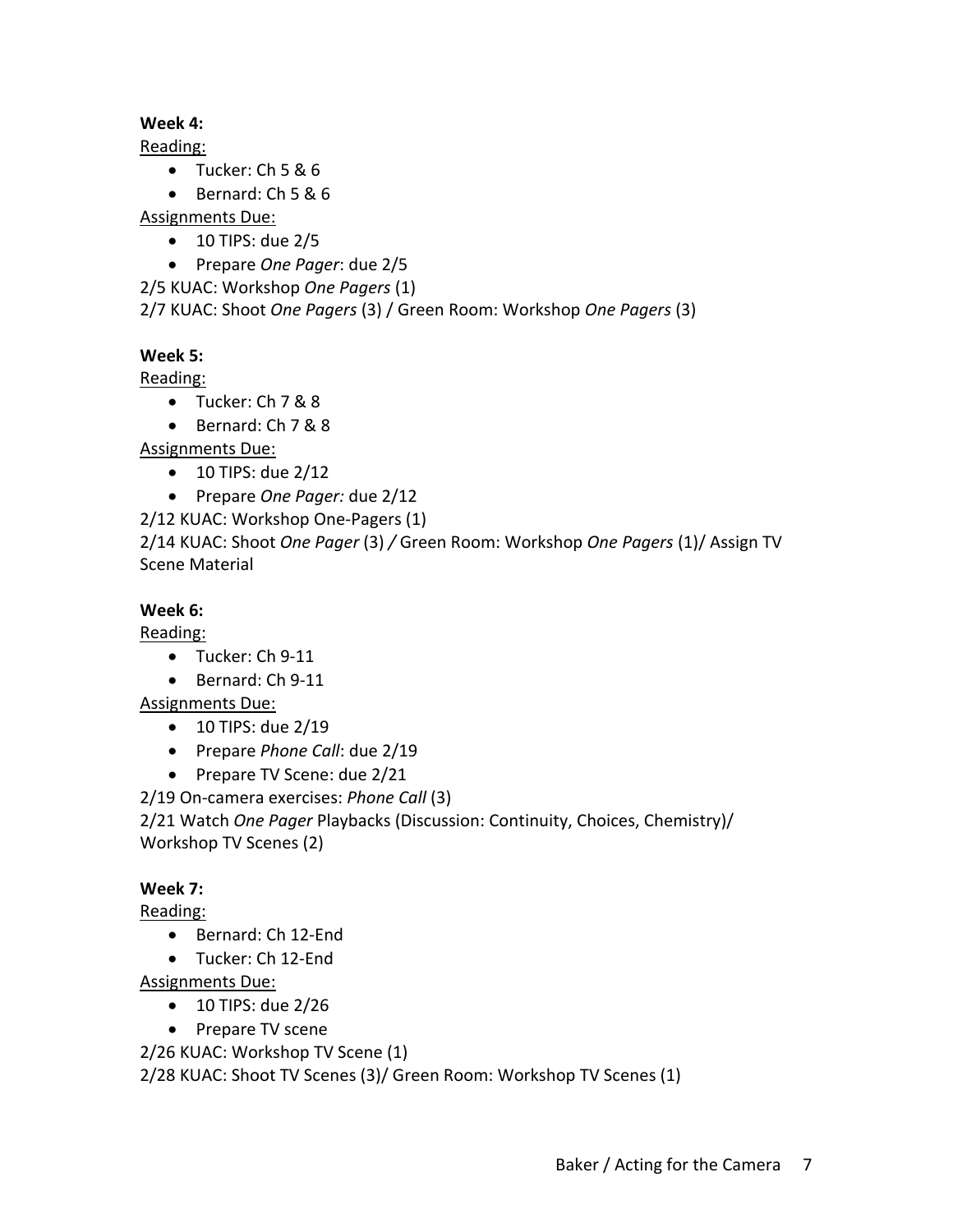## **Week 4:**

Reading:

- $\bullet$  Tucker: Ch 5 & 6
- $\bullet$  Bernard: Ch 5 & 6

Assignments Due:

- $\bullet$  10 TIPS: due 2/5
- Prepare *One Pager*: due 2/5

2/5 KUAC: Workshop *One Pagers* (1)

2/7 KUAC: Shoot *One Pagers* (3) / Green Room: Workshop *One Pagers* (3)

## **Week 5:**

Reading:

- Tucker: Ch 7 & 8
- Bernard: Ch 7 & 8

Assignments Due:

- $\bullet$  10 TIPS: due 2/12
- Prepare *One Pager:* due 2/12

2/12 KUAC: Workshop One‐Pagers (1)

2/14 KUAC: Shoot *One Pager* (3) */* Green Room: Workshop *One Pagers* (1)/ Assign TV Scene Material

## **Week 6:**

Reading:

- Tucker: Ch 9-11
- Bernard: Ch 9-11

Assignments Due:

- 10 TIPS: due 2/19
- Prepare *Phone Call*: due 2/19
- Prepare TV Scene: due 2/21

2/19 On‐camera exercises: *Phone Call* (3)

2/21 Watch *One Pager* Playbacks (Discussion: Continuity, Choices, Chemistry)/ Workshop TV Scenes (2)

# **Week 7:**

Reading:

- Bernard: Ch 12-End
- Tucker: Ch 12‐End

Assignments Due:

- 10 TIPS: due 2/26
- Prepare TV scene

2/26 KUAC: Workshop TV Scene (1)

2/28 KUAC: Shoot TV Scenes (3)/ Green Room: Workshop TV Scenes (1)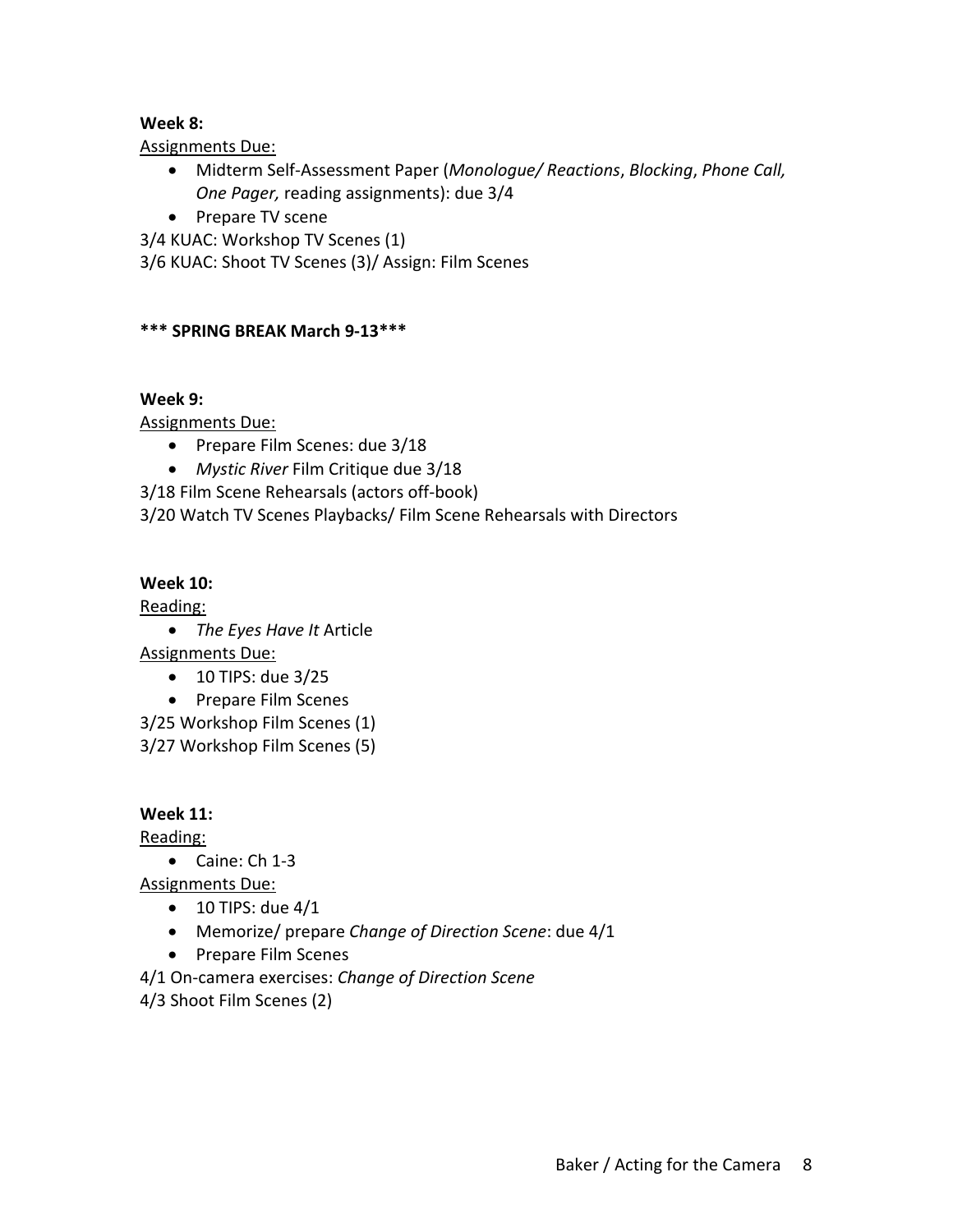#### **Week 8:**

Assignments Due:

- Midterm Self‐Assessment Paper (*Monologue/ Reactions*, *Blocking*, *Phone Call, One Pager,* reading assignments): due 3/4
- Prepare TV scene

3/4 KUAC: Workshop TV Scenes (1) 3/6 KUAC: Shoot TV Scenes (3)/ Assign: Film Scenes

#### **\*\*\* SPRING BREAK March 9‐13\*\*\***

#### **Week 9:**

Assignments Due:

- Prepare Film Scenes: due 3/18
- *Mystic River* Film Critique due 3/18

3/18 Film Scene Rehearsals (actors off‐book)

3/20 Watch TV Scenes Playbacks/ Film Scene Rehearsals with Directors

#### **Week 10:**

Reading:

*The Eyes Have It* Article

Assignments Due:

- 10 TIPS: due 3/25
- Prepare Film Scenes

3/25 Workshop Film Scenes (1)

3/27 Workshop Film Scenes (5)

## **Week 11:**

Reading:

Caine: Ch 1‐3

Assignments Due:

- $\bullet$  10 TIPS: due 4/1
- Memorize/ prepare *Change of Direction Scene*: due 4/1
- Prepare Film Scenes

4/1 On‐camera exercises: *Change of Direction Scene*

4/3 Shoot Film Scenes (2)